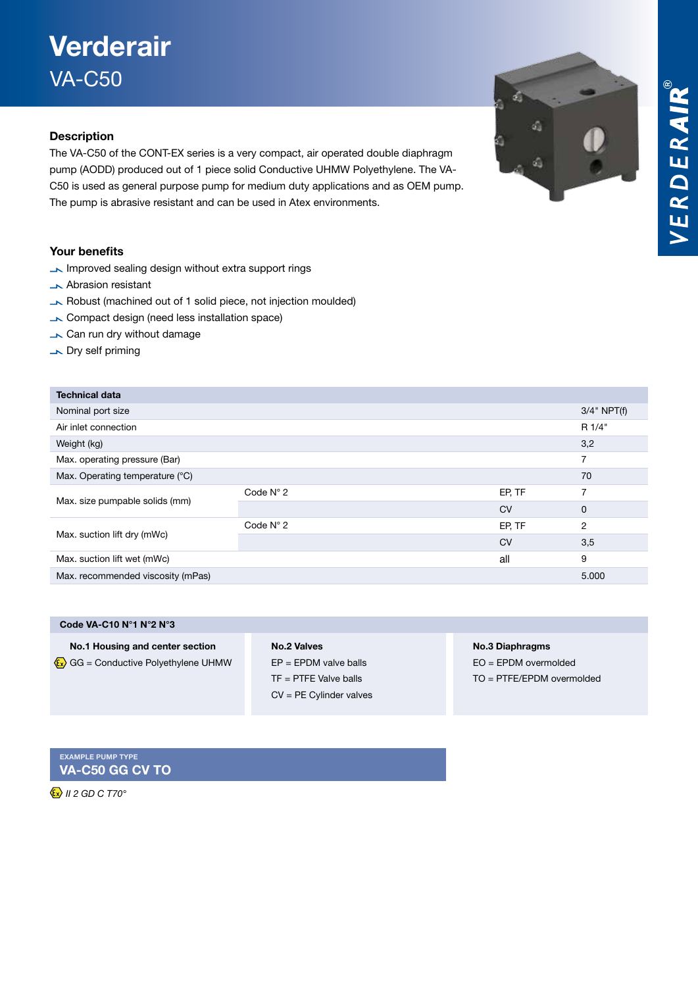# VERDERAIR®

# Verderair VA-C50

### Description

The VA-C50 of the CONT-EX series is a very compact, air operated double diaphragm pump (AODD) produced out of 1 piece solid Conductive UHMW Polyethylene. The VA-C50 is used as general purpose pump for medium duty applications and as OEM pump. The pump is abrasive resistant and can be used in Atex environments.

### Your benefits

- Improved sealing design without extra support rings
- **Abrasion resistant**
- Robust (machined out of 1 solid piece, not injection moulded)
- Compact design (need less installation space)
- Can run dry without damage
- Dry self priming

| <b>Technical data</b>             |                    |           |                |
|-----------------------------------|--------------------|-----------|----------------|
| Nominal port size                 |                    |           | $3/4$ " NPT(f) |
| Air inlet connection              |                    |           | R 1/4"         |
| Weight (kg)                       |                    |           | 3,2            |
| Max. operating pressure (Bar)     |                    |           | 7              |
| Max. Operating temperature (°C)   |                    |           | 70             |
| Max. size pumpable solids (mm)    | Code $N^{\circ}$ 2 | EP, TF    |                |
|                                   |                    | <b>CV</b> | 0              |
| Max. suction lift dry (mWc)       | Code $N^{\circ}$ 2 | EP, TF    | 2              |
|                                   |                    | <b>CV</b> | 3,5            |
| Max. suction lift wet (mWc)       |                    | all       | 9              |
| Max. recommended viscosity (mPas) |                    |           | 5.000          |
|                                   |                    |           |                |

| Code VA-C10 N°1 N°2 N°3         |
|---------------------------------|
| No.1 Housing and center section |

 $\langle \mathbf{\overline{x}} \rangle$  GG = Conductive Polyethylene UHMW

### No.2 Valves EP = EPDM valve balls TF = PTFE Valve balls CV = PE Cylinder valves

No.3 Diaphragms

á

đ,

á

EO = EPDM overmolded TO = PTFE/EPDM overmolded

Example pump type VA-C50 GG CV TO

 *II 2 GD C T70°*